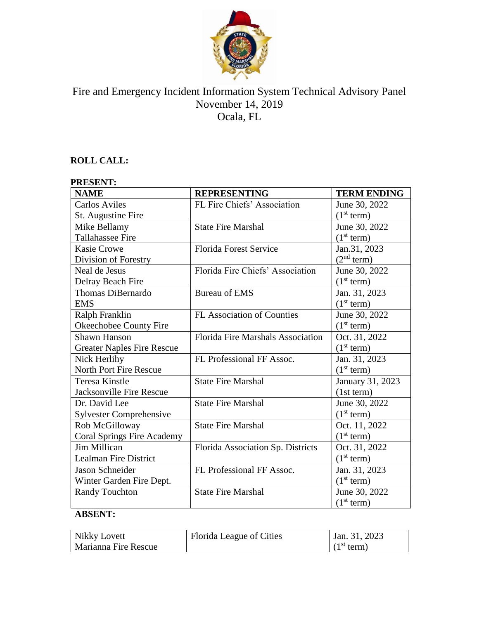

# Fire and Emergency Incident Information System Technical Advisory Panel November 14, 2019 Ocala, FL

# **ROLL CALL:**

# **PRESENT:**

| <b>NAME</b>                       | <b>REPRESENTING</b>               | <b>TERM ENDING</b>     |
|-----------------------------------|-----------------------------------|------------------------|
| <b>Carlos Aviles</b>              | FL Fire Chiefs' Association       | June 30, 2022          |
| St. Augustine Fire                |                                   | (1 <sup>st</sup> term) |
| Mike Bellamy                      | <b>State Fire Marshal</b>         | June 30, 2022          |
| <b>Tallahassee Fire</b>           |                                   | (1 <sup>st</sup> term) |
| <b>Kasie Crowe</b>                | <b>Florida Forest Service</b>     | Jan.31, 2023           |
| Division of Forestry              |                                   | (2 <sup>nd</sup> term) |
| Neal de Jesus                     | Florida Fire Chiefs' Association  | June 30, 2022          |
| Delray Beach Fire                 |                                   | (1 <sup>st</sup> term) |
| <b>Thomas DiBernardo</b>          | <b>Bureau of EMS</b>              | Jan. 31, 2023          |
| <b>EMS</b>                        |                                   | (1 <sup>st</sup> term) |
| Ralph Franklin                    | <b>FL Association of Counties</b> | June 30, 2022          |
| Okeechobee County Fire            |                                   | (1 <sup>st</sup> term) |
| <b>Shawn Hanson</b>               | Florida Fire Marshals Association | Oct. 31, 2022          |
| <b>Greater Naples Fire Rescue</b> |                                   | (1 <sup>st</sup> term) |
| Nick Herlihy                      | FL Professional FF Assoc.         | Jan. 31, 2023          |
| North Port Fire Rescue            |                                   | (1 <sup>st</sup> term) |
| <b>Teresa Kinstle</b>             | <b>State Fire Marshal</b>         | January 31, 2023       |
| <b>Jacksonville Fire Rescue</b>   |                                   | (1st term)             |
| Dr. David Lee                     | <b>State Fire Marshal</b>         | June 30, 2022          |
| <b>Sylvester Comprehensive</b>    |                                   | (1 <sup>st</sup> term) |
| Rob McGilloway                    | <b>State Fire Marshal</b>         | Oct. 11, 2022          |
| <b>Coral Springs Fire Academy</b> |                                   | (1 <sup>st</sup> term) |
| <b>Jim Millican</b>               | Florida Association Sp. Districts | Oct. 31, 2022          |
| <b>Lealman Fire District</b>      |                                   | (1 <sup>st</sup> term) |
| Jason Schneider                   | FL Professional FF Assoc.         | Jan. 31, 2023          |
| Winter Garden Fire Dept.          |                                   | (1 <sup>st</sup> term) |
| <b>Randy Touchton</b>             | <b>State Fire Marshal</b>         | June 30, 2022          |
|                                   |                                   | (1 <sup>st</sup> term) |

# **ABSENT:**

| Nikky Lovett         | Florida League of Cities | Jan. 31, 2023          |
|----------------------|--------------------------|------------------------|
| Marianna Fire Rescue |                          | (1 <sup>st</sup> term) |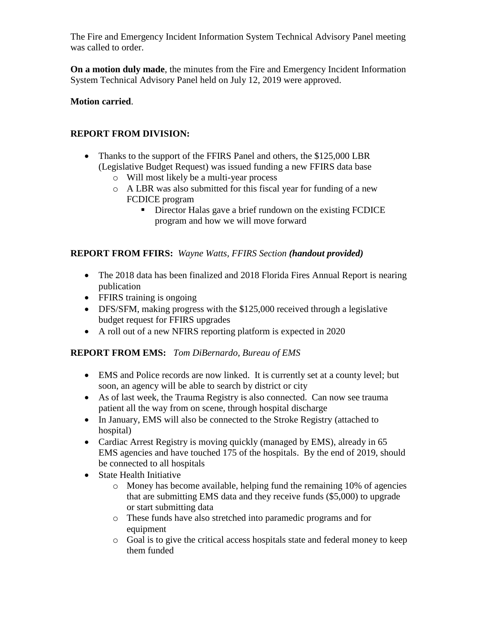The Fire and Emergency Incident Information System Technical Advisory Panel meeting was called to order.

**On a motion duly made**, the minutes from the Fire and Emergency Incident Information System Technical Advisory Panel held on July 12, 2019 were approved.

## **Motion carried**.

## **REPORT FROM DIVISION:**

- Thanks to the support of the FFIRS Panel and others, the \$125,000 LBR (Legislative Budget Request) was issued funding a new FFIRS data base
	- o Will most likely be a multi-year process
	- o A LBR was also submitted for this fiscal year for funding of a new FCDICE program
		- **•** Director Halas gave a brief rundown on the existing FCDICE program and how we will move forward

## **REPORT FROM FFIRS:** *Wayne Watts, FFIRS Section (handout provided)*

- The 2018 data has been finalized and 2018 Florida Fires Annual Report is nearing publication
- FFIRS training is ongoing
- DFS/SFM, making progress with the \$125,000 received through a legislative budget request for FFIRS upgrades
- A roll out of a new NFIRS reporting platform is expected in 2020

#### **REPORT FROM EMS:** *Tom DiBernardo, Bureau of EMS*

- EMS and Police records are now linked. It is currently set at a county level; but soon, an agency will be able to search by district or city
- As of last week, the Trauma Registry is also connected. Can now see trauma patient all the way from on scene, through hospital discharge
- In January, EMS will also be connected to the Stroke Registry (attached to hospital)
- Cardiac Arrest Registry is moving quickly (managed by EMS), already in 65 EMS agencies and have touched 175 of the hospitals. By the end of 2019, should be connected to all hospitals
- State Health Initiative
	- o Money has become available, helping fund the remaining 10% of agencies that are submitting EMS data and they receive funds (\$5,000) to upgrade or start submitting data
	- o These funds have also stretched into paramedic programs and for equipment
	- o Goal is to give the critical access hospitals state and federal money to keep them funded